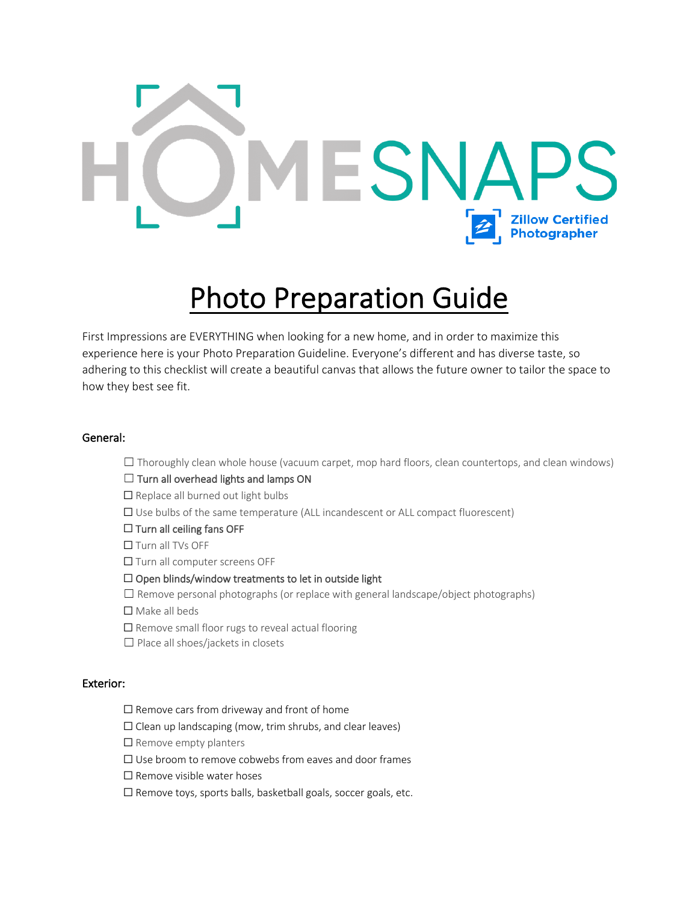# ř. **Zillow Certified<br>Photographer**

# Photo Preparation Guide

First Impressions are EVERYTHING when looking for a new home, and in order to maximize this experience here is your Photo Preparation Guideline. Everyone's different and has diverse taste, so adhering to this checklist will create a beautiful canvas that allows the future owner to tailor the space to how they best see fit.

# General:

 $\Box$  Thoroughly clean whole house (vacuum carpet, mop hard floors, clean countertops, and clean windows)

#### $\Box$  Turn all overhead lights and lamps ON

□ Replace all burned out light bulbs

- ☐ Use bulbs of the same temperature (ALL incandescent or ALL compact fluorescent)
- ☐ Turn all ceiling fans OFF
- ☐ Turn all TVs OFF
- □ Turn all computer screens OFF

# ☐ Open blinds/window treatments to let in outside light

- ☐ Remove personal photographs (or replace with general landscape/object photographs)
- ☐ Make all beds
- □ Remove small floor rugs to reveal actual flooring
- □ Place all shoes/jackets in closets

# Exterior:

- $\Box$  Remove cars from driveway and front of home
- $\Box$  Clean up landscaping (mow, trim shrubs, and clear leaves)
- □ Remove empty planters
- ☐ Use broom to remove cobwebs from eaves and door frames
- ☐ Remove visible water hoses
- ☐ Remove toys, sports balls, basketball goals, soccer goals, etc.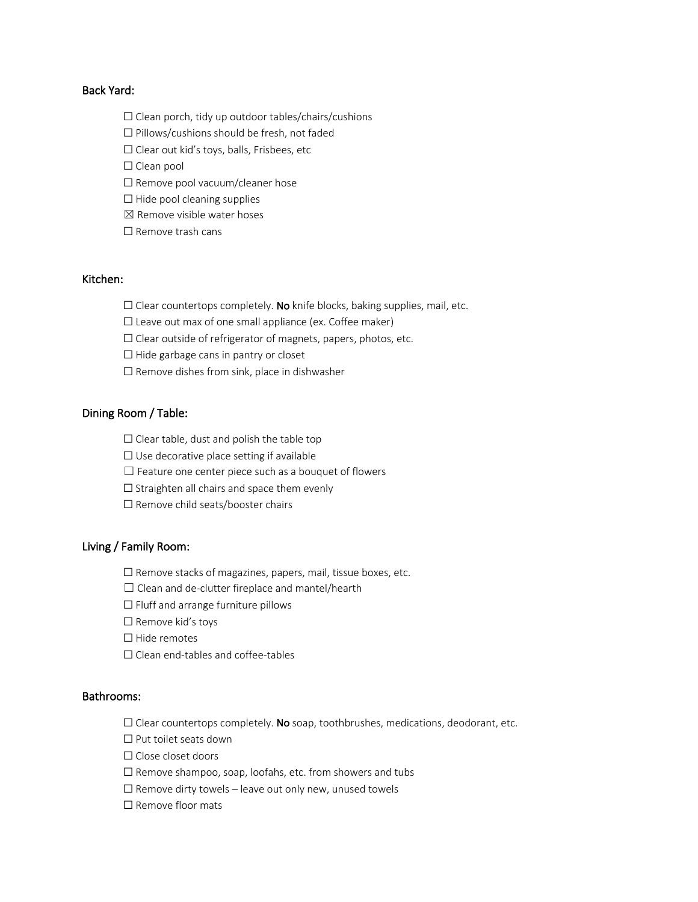# Back Yard:

- $\Box$  Clean porch, tidy up outdoor tables/chairs/cushions
- ☐ Pillows/cushions should be fresh, not faded
- ☐ Clear out kid's toys, balls, Frisbees, etc
- □ Clean pool
- ☐ Remove pool vacuum/cleaner hose
- □ Hide pool cleaning supplies
- $<sup>2</sup>$  Remove visible water hoses</sup>
- ☐ Remove trash cans

# Kitchen:

- $\Box$  Clear countertops completely. No knife blocks, baking supplies, mail, etc.
- $\Box$  Leave out max of one small appliance (ex. Coffee maker)
- ☐ Clear outside of refrigerator of magnets, papers, photos, etc.
- ☐ Hide garbage cans in pantry or closet
- $\Box$  Remove dishes from sink, place in dishwasher

# Dining Room / Table:

- $\Box$  Clear table, dust and polish the table top
- $\Box$  Use decorative place setting if available
- $\Box$  Feature one center piece such as a bouquet of flowers
- □ Straighten all chairs and space them evenly
- □ Remove child seats/booster chairs

#### Living / Family Room:

- ☐ Remove stacks of magazines, papers, mail, tissue boxes, etc.
- ☐ Clean and de-clutter fireplace and mantel/hearth
- ☐ Fluff and arrange furniture pillows
- ☐ Remove kid's toys
- ☐ Hide remotes
- ☐ Clean end-tables and coffee-tables

#### Bathrooms:

- $\Box$  Clear countertops completely. No soap, toothbrushes, medications, deodorant, etc.
- ☐ Put toilet seats down
- ☐ Close closet doors
- ☐ Remove shampoo, soap, loofahs, etc. from showers and tubs
- $\Box$  Remove dirty towels leave out only new, unused towels
- ☐ Remove floor mats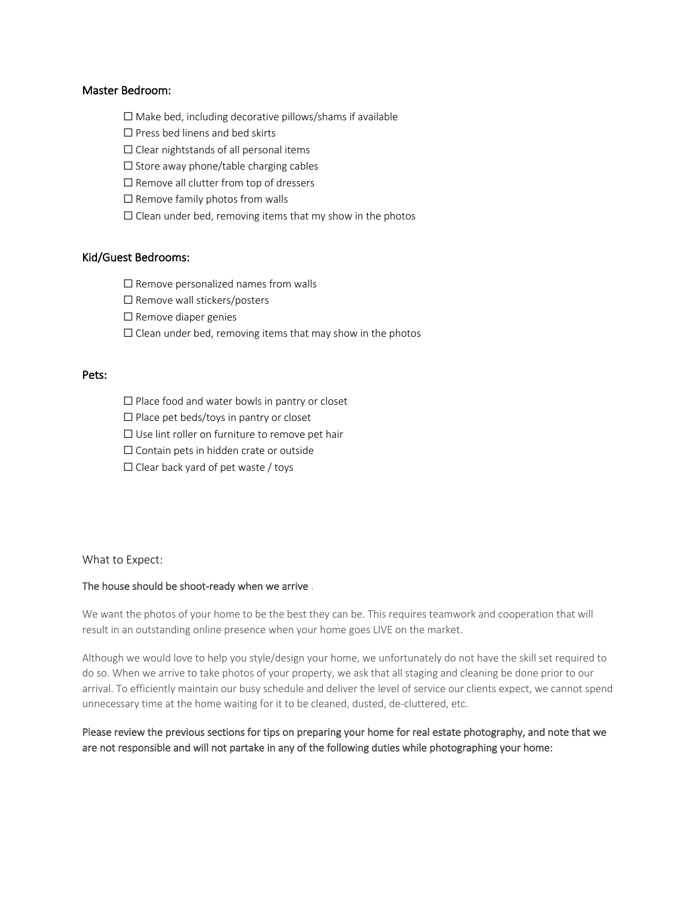#### Master Bedroom:

- $\Box$  Make bed, including decorative pillows/shams if available
- ☐ Press bed linens and bed skirts
- $\Box$  Clear nightstands of all personal items
- $\Box$  Store away phone/table charging cables
- ☐ Remove all clutter from top of dressers
- $\Box$  Remove family photos from walls
- $\Box$  Clean under bed, removing items that my show in the photos

# Kid/Guest Bedrooms:

- $\Box$  Remove personalized names from walls
- □ Remove wall stickers/posters
- ☐ Remove diaper genies
- $\Box$  Clean under bed, removing items that may show in the photos

# Pets:

- ☐ Place food and water bowls in pantry or closet
- ☐ Place pet beds/toys in pantry or closet
- □ Use lint roller on furniture to remove pet hair
- ☐ Contain pets in hidden crate or outside
- $\Box$  Clear back yard of pet waste / toys

#### What to Expect:

#### The house should be shoot-ready when we arrive .

We want the photos of your home to be the best they can be. This requires teamwork and cooperation that will result in an outstanding online presence when your home goes LIVE on the market.

Although we would love to help you style/design your home, we unfortunately do not have the skill set required to do so. When we arrive to take photos of your property, we ask that all staging and cleaning be done prior to our arrival. To efficiently maintain our busy schedule and deliver the level of service our clients expect, we cannot spend unnecessary time at the home waiting for it to be cleaned, dusted, de-cluttered, etc.

# Please review the previous sections for tips on preparing your home for real estate photography, and note that we are not responsible and will not partake in any of the following duties while photographing your home: